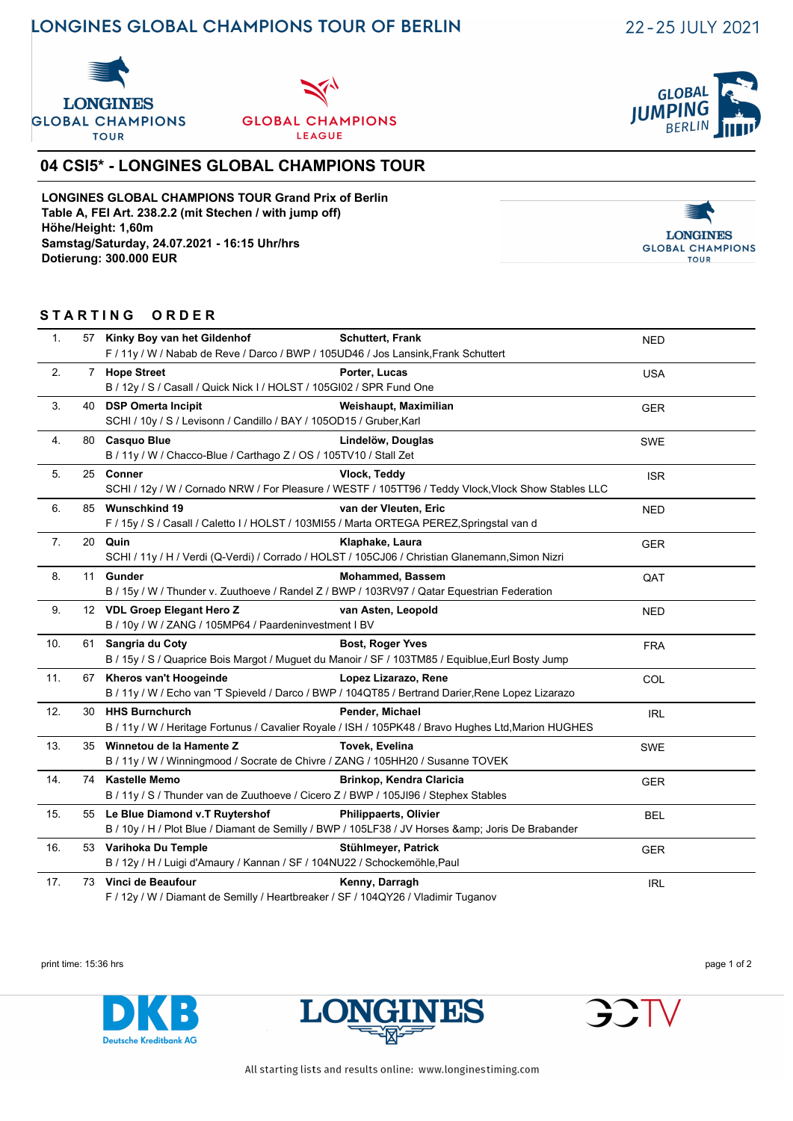# **LONGINES GLOBAL CHAMPIONS TOUR OF BERLIN**

**GLOBAI** 

**BERLIN** 

**IUMP** 





## **04 CSI5\* - LONGINES GLOBAL CHAMPIONS TOUR**

**LONGINES GLOBAL CHAMPIONS TOUR Grand Prix of Berlin Table A, FEI Art. 238.2.2 (mit Stechen / with jump off) Höhe/Height: 1,60m Samstag/Saturday, 24.07.2021 - 16:15 Uhr/hrs Dotierung: 300.000 EUR**



### **S T A R T I N G O R D E R**

| $\mathbf{1}$ . | 57 Kinky Boy van het Gildenhof                                                                    | <b>Schuttert, Frank</b>                                                                             | <b>NED</b> |  |  |
|----------------|---------------------------------------------------------------------------------------------------|-----------------------------------------------------------------------------------------------------|------------|--|--|
|                | F / 11y / W / Nabab de Reve / Darco / BWP / 105UD46 / Jos Lansink, Frank Schuttert                |                                                                                                     |            |  |  |
| 2.             | 7 Hope Street                                                                                     | Porter, Lucas                                                                                       | <b>USA</b> |  |  |
|                | B / 12y / S / Casall / Quick Nick I / HOLST / 105GI02 / SPR Fund One                              |                                                                                                     |            |  |  |
| 3.             | 40 DSP Omerta Incipit                                                                             | Weishaupt, Maximilian                                                                               | <b>GER</b> |  |  |
|                | SCHI / 10y / S / Levisonn / Candillo / BAY / 105OD15 / Gruber, Karl                               |                                                                                                     |            |  |  |
| 4.             | 80 Casquo Blue                                                                                    | Lindelöw, Douglas                                                                                   | <b>SWE</b> |  |  |
|                | B / 11y / W / Chacco-Blue / Carthago Z / OS / 105TV10 / Stall Zet                                 |                                                                                                     |            |  |  |
| 5.             | 25 Conner                                                                                         | Vlock, Teddy                                                                                        | <b>ISR</b> |  |  |
|                |                                                                                                   | SCHI / 12y / W / Cornado NRW / For Pleasure / WESTF / 105TT96 / Teddy Vlock, Vlock Show Stables LLC |            |  |  |
| 6.             | 85 Wunschkind 19                                                                                  | van der Vleuten, Eric                                                                               | <b>NED</b> |  |  |
|                | F / 15y / S / Casall / Caletto I / HOLST / 103MI55 / Marta ORTEGA PEREZ, Springstal van d         |                                                                                                     |            |  |  |
| 7.             | 20 Quin                                                                                           | Klaphake, Laura                                                                                     | <b>GER</b> |  |  |
|                | SCHI / 11y / H / Verdi (Q-Verdi) / Corrado / HOLST / 105CJ06 / Christian Glanemann, Simon Nizri   |                                                                                                     |            |  |  |
| 8.             | 11 Gunder                                                                                         | <b>Mohammed, Bassem</b>                                                                             | QAT        |  |  |
|                | B / 15y / W / Thunder v. Zuuthoeve / Randel Z / BWP / 103RV97 / Qatar Equestrian Federation       |                                                                                                     |            |  |  |
| 9.             | 12 VDL Groep Elegant Hero Z                                                                       | van Asten, Leopold                                                                                  | <b>NED</b> |  |  |
|                | B / 10y / W / ZANG / 105MP64 / Paardeninvestment I BV                                             |                                                                                                     |            |  |  |
| 10.            | 61 Sangria du Coty                                                                                | <b>Bost, Roger Yves</b>                                                                             | <b>FRA</b> |  |  |
|                | B / 15y / S / Quaprice Bois Margot / Muguet du Manoir / SF / 103TM85 / Equiblue, Eurl Bosty Jump  |                                                                                                     |            |  |  |
| 11.            | 67 Kheros van't Hoogeinde                                                                         | Lopez Lizarazo, Rene                                                                                | COL        |  |  |
|                | B / 11y / W / Echo van 'T Spieveld / Darco / BWP / 104QT85 / Bertrand Darier, Rene Lopez Lizarazo |                                                                                                     |            |  |  |
| 12.            | 30 HHS Burnchurch                                                                                 | Pender, Michael                                                                                     | <b>IRL</b> |  |  |
|                |                                                                                                   | B / 11y / W / Heritage Fortunus / Cavalier Royale / ISH / 105PK48 / Bravo Hughes Ltd, Marion HUGHES |            |  |  |
| 13.            | 35 Winnetou de la Hamente Z                                                                       | Tovek, Evelina                                                                                      | SWE        |  |  |
|                | B / 11y / W / Winningmood / Socrate de Chivre / ZANG / 105HH20 / Susanne TOVEK                    |                                                                                                     |            |  |  |
| 14.            | 74 Kastelle Memo                                                                                  | Brinkop, Kendra Claricia                                                                            | <b>GER</b> |  |  |
|                | B / 11y / S / Thunder van de Zuuthoeve / Cicero Z / BWP / 105JI96 / Stephex Stables               |                                                                                                     |            |  |  |
| 15.            | 55 Le Blue Diamond v.T Ruytershof                                                                 | <b>Philippaerts, Olivier</b>                                                                        | <b>BEL</b> |  |  |
|                |                                                                                                   | B / 10y / H / Plot Blue / Diamant de Semilly / BWP / 105LF38 / JV Horses & Joris De Brabander       |            |  |  |
| 16.            | 53 Varihoka Du Temple                                                                             | Stühlmeyer, Patrick                                                                                 | <b>GER</b> |  |  |
|                | B / 12y / H / Luigi d'Amaury / Kannan / SF / 104NU22 / Schockemöhle, Paul                         |                                                                                                     |            |  |  |
| 17.            | 73 Vinci de Beaufour                                                                              | Kenny, Darragh                                                                                      | <b>IRL</b> |  |  |
|                |                                                                                                   |                                                                                                     |            |  |  |

F / 12y / W / Diamant de Semilly / Heartbreaker / SF / 104QY26 / Vladimir Tuganov

print time: 15:36 hrs page 1 of 2